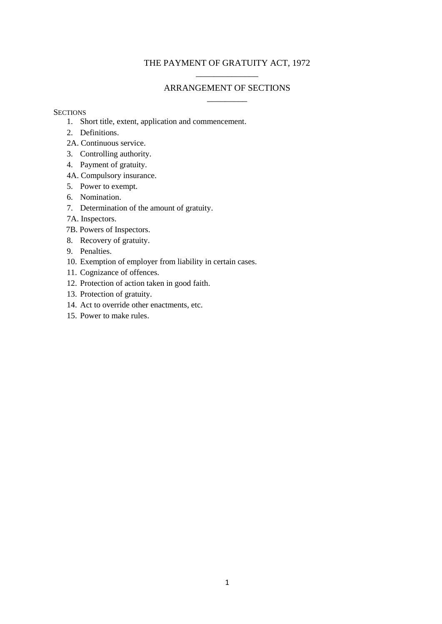## THE PAYMENT OF GRATUITY ACT, 1972 \_\_\_\_\_\_\_\_\_\_\_\_\_\_

# ARRANGEMENT OF SECTIONS \_\_\_\_\_\_\_\_\_

## **SECTIONS**

- 1. Short title, extent, application and commencement.
- 2. Definitions.
- 2A. Continuous service.
- 3. Controlling authority.
- 4. Payment of gratuity.
- 4A. Compulsory insurance.
- 5. Power to exempt.
- 6. Nomination.
- 7. Determination of the amount of gratuity.
- 7A. Inspectors.
- 7B. Powers of Inspectors.
- 8. Recovery of gratuity.
- 9. Penalties.
- 10. Exemption of employer from liability in certain cases.
- 11. Cognizance of offences.
- 12. Protection of action taken in good faith.
- 13. Protection of gratuity.
- 14. Act to override other enactments, etc.
- 15. Power to make rules.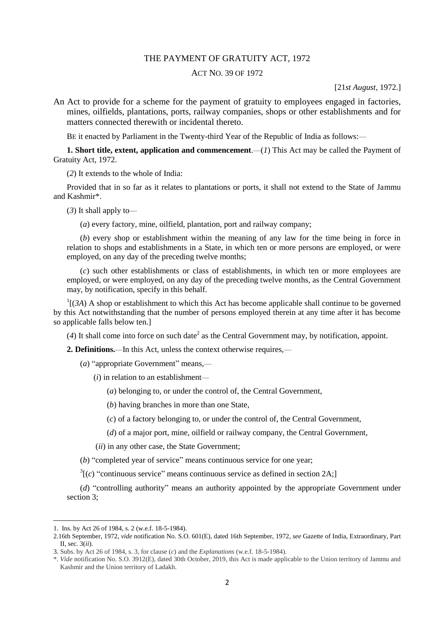#### THE PAYMENT OF GRATUITY ACT, 1972

### ACT NO. 39 OF 1972

#### [21*st August*, 1972.]

An Act to provide for a scheme for the payment of gratuity to employees engaged in factories, mines, oilfields, plantations, ports, railway companies, shops or other establishments and for matters connected therewith or incidental thereto.

BE it enacted by Parliament in the Twenty-third Year of the Republic of India as follows:—

**1. Short title, extent, application and commencement.** (*1*) This Act may be called the Payment of Gratuity Act, 1972.

(*2*) It extends to the whole of India:

Provided that in so far as it relates to plantations or ports, it shall not extend to the State of Jammu and Kashmir\*.

(*3*) It shall apply to—

(*a*) every factory, mine, oilfield, plantation, port and railway company;

(*b*) every shop or establishment within the meaning of any law for the time being in force in relation to shops and establishments in a State, in which ten or more persons are employed, or were employed, on any day of the preceding twelve months;

(*c*) such other establishments or class of establishments, in which ten or more employees are employed, or were employed, on any day of the preceding twelve months, as the Central Government may, by notification, specify in this behalf.

 $\frac{1}{3}$  (3A) A shop or establishment to which this Act has become applicable shall continue to be governed by this Act notwithstanding that the number of persons employed therein at any time after it has become so applicable falls below ten.]

 $(4)$  It shall come into force on such date<sup>2</sup> as the Central Government may, by notification, appoint.

**2. Definitions.**—In this Act, unless the context otherwise requires,—

- (*a*) "appropriate Government" means,—
	- (*i*) in relation to an establishment—
		- (*a*) belonging to, or under the control of, the Central Government,

(*b*) having branches in more than one State,

- (*c*) of a factory belonging to, or under the control of, the Central Government,
- (*d*) of a major port, mine, oilfield or railway company, the Central Government,
- (*ii*) in any other case, the State Government;
- (*b*) "completed year of service" means continuous service for one year;

 $3[(c)$  "continuous service" means continuous service as defined in section 2A;]

(*d*) "controlling authority" means an authority appointed by the appropriate Government under section 3;

<sup>1.</sup> Ins. by Act 26 of 1984, s. 2 (w.e.f. 18-5-1984).

<sup>2.16</sup>th September, 1972, *vide* notification No. S.O. 601(E), dated 16th September, 1972, *see* Gazette of India, Extraordinary, Part II, sec. 3(*ii*).

<sup>3.</sup> Subs. by Act 26 of 1984, s. 3, for clause (*c*) and the *Explanations* (w.e.f. 18-5-1984).

<sup>\*.</sup> *Vide* notification No. S.O. 3912(E), dated 30th October, 2019, this Act is made applicable to the Union territory of Jammu and Kashmir and the Union territory of Ladakh.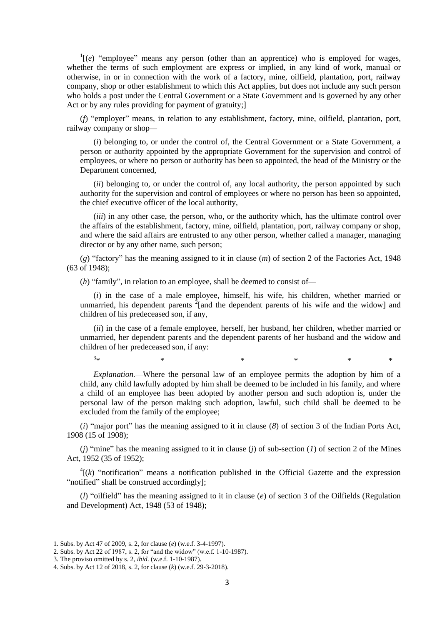$\Gamma^1(e)$  "employee" means any person (other than an apprentice) who is employed for wages, whether the terms of such employment are express or implied, in any kind of work, manual or otherwise, in or in connection with the work of a factory, mine, oilfield, plantation, port, railway company, shop or other establishment to which this Act applies, but does not include any such person who holds a post under the Central Government or a State Government and is governed by any other Act or by any rules providing for payment of gratuity;]

(*f*) "employer" means, in relation to any establishment, factory, mine, oilfield, plantation, port, railway company or shop—

(*i*) belonging to, or under the control of, the Central Government or a State Government, a person or authority appointed by the appropriate Government for the supervision and control of employees, or where no person or authority has been so appointed, the head of the Ministry or the Department concerned,

(*ii*) belonging to, or under the control of, any local authority, the person appointed by such authority for the supervision and control of employees or where no person has been so appointed, the chief executive officer of the local authority,

(*iii*) in any other case, the person, who, or the authority which, has the ultimate control over the affairs of the establishment, factory, mine, oilfield, plantation, port, railway company or shop, and where the said affairs are entrusted to any other person, whether called a manager, managing director or by any other name, such person;

(*g*) "factory" has the meaning assigned to it in clause (*m*) of section 2 of the Factories Act, 1948 (63 of 1948);

(*h*) "family", in relation to an employee, shall be deemed to consist of—

(*i*) in the case of a male employee, himself, his wife, his children, whether married or unmarried, his dependent parents  $2$ [and the dependent parents of his wife and the widow] and children of his predeceased son, if any,

(*ii*) in the case of a female employee, herself, her husband, her children, whether married or unmarried, her dependent parents and the dependent parents of her husband and the widow and children of her predeceased son, if any:

 $3*$  $*$  \*  $*$  \*  $*$  \*  $*$  \*

*Explanation.*—Where the personal law of an employee permits the adoption by him of a child, any child lawfully adopted by him shall be deemed to be included in his family, and where a child of an employee has been adopted by another person and such adoption is, under the personal law of the person making such adoption, lawful, such child shall be deemed to be excluded from the family of the employee;

(*i*) "major port" has the meaning assigned to it in clause (*8*) of section 3 of the Indian Ports Act, 1908 (15 of 1908);

(*j*) "mine" has the meaning assigned to it in clause (*j*) of sub-section (*1*) of section 2 of the Mines Act, 1952 (35 of 1952);

 $<sup>4</sup>$ [(k) "notification" means a notification published in the Official Gazette and the expression</sup> "notified" shall be construed accordingly];

(*l*) "oilfield" has the meaning assigned to it in clause (*e*) of section 3 of the Oilfields (Regulation and Development) Act, 1948 (53 of 1948);

<sup>1.</sup> Subs. by Act 47 of 2009, s. 2, for clause (*e*) (w.e.f. 3-4-1997).

<sup>2.</sup> Subs. by Act 22 of 1987, s. 2, for "and the widow" (w.e.f. 1-10-1987).

<sup>3.</sup> The proviso omitted by s. 2, *ibid*. (w.e.f. 1-10-1987).

<sup>4.</sup> Subs. by Act 12 of 2018, s. 2, for clause (*k*) (w.e.f. 29-3-2018).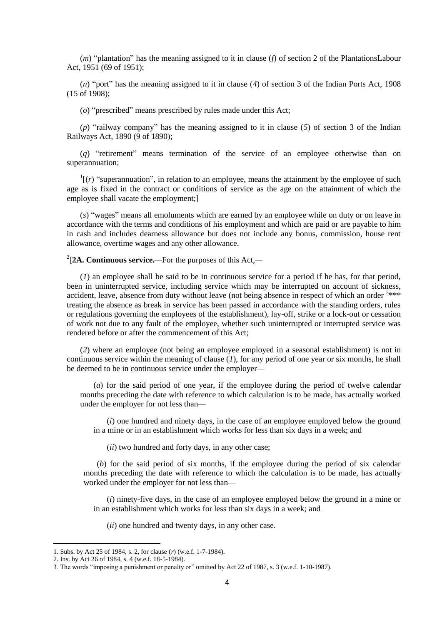(*m*) "plantation" has the meaning assigned to it in clause (*f*) of section 2 of the PlantationsLabour Act, 1951 (69 of 1951);

(*n*) "port" has the meaning assigned to it in clause (*4*) of section 3 of the Indian Ports Act, 1908 (15 of 1908);

(*o*) "prescribed" means prescribed by rules made under this Act;

(*p*) "railway company" has the meaning assigned to it in clause (*5*) of section 3 of the Indian Railways Act, 1890 (9 of 1890);

(*q*) "retirement" means termination of the service of an employee otherwise than on superannuation;

 $\frac{1}{1}(r)$  "superannuation", in relation to an employee, means the attainment by the employee of such age as is fixed in the contract or conditions of service as the age on the attainment of which the employee shall vacate the employment;]

(*s*) "wages" means all emoluments which are earned by an employee while on duty or on leave in accordance with the terms and conditions of his employment and which are paid or are payable to him in cash and includes dearness allowance but does not include any bonus, commission, house rent allowance, overtime wages and any other allowance.

2 [**2A. Continuous service.**—For the purposes of this Act,—

(*1*) an employee shall be said to be in continuous service for a period if he has, for that period, been in uninterrupted service, including service which may be interrupted on account of sickness, accident, leave, absence from duty without leave (not being absence in respect of which an order <sup>3\*\*\*</sup> treating the absence as break in service has been passed in accordance with the standing orders, rules or regulations governing the employees of the establishment), lay-off, strike or a lock-out or cessation of work not due to any fault of the employee, whether such uninterrupted or interrupted service was rendered before or after the commencement of this Act;

(*2*) where an employee (not being an employee employed in a seasonal establishment) is not in continuous service within the meaning of clause (*1*), for any period of one year or six months, he shall be deemed to be in continuous service under the employer—

(*a*) for the said period of one year, if the employee during the period of twelve calendar months preceding the date with reference to which calculation is to be made, has actually worked under the employer for not less than—

(*i*) one hundred and ninety days, in the case of an employee employed below the ground in a mine or in an establishment which works for less than six days in a week; and

(*ii*) two hundred and forty days, in any other case;

(*b*) for the said period of six months, if the employee during the period of six calendar months preceding the date with reference to which the calculation is to be made, has actually worked under the employer for not less than—

(*i*) ninety-five days, in the case of an employee employed below the ground in a mine or in an establishment which works for less than six days in a week; and

(*ii*) one hundred and twenty days, in any other case.

<sup>1.</sup> Subs. by Act 25 of 1984, s. 2, for clause (*r*) (w.e.f. 1-7-1984).

<sup>2.</sup> Ins. by Act 26 of 1984, s. 4 (w.e.f. 18-5-1984).

<sup>3.</sup> The words "imposing a punishment or penalty or" omitted by Act 22 of 1987, s. 3 (w.e.f. 1-10-1987).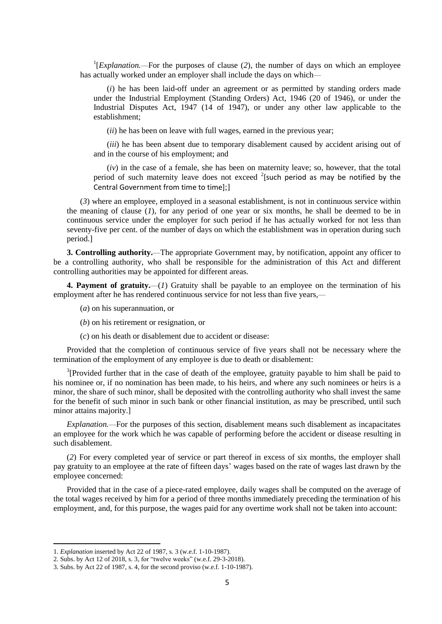<sup>1</sup>[*Explanation*.—For the purposes of clause (2), the number of days on which an employee has actually worked under an employer shall include the days on which—

(*i*) he has been laid-off under an agreement or as permitted by standing orders made under the Industrial Employment (Standing Orders) Act, 1946 (20 of 1946), or under the Industrial Disputes Act, 1947 (14 of 1947), or under any other law applicable to the establishment;

(*ii*) he has been on leave with full wages, earned in the previous year;

(*iii*) he has been absent due to temporary disablement caused by accident arising out of and in the course of his employment; and

(*iv*) in the case of a female, she has been on maternity leave; so, however, that the total period of such maternity leave does not exceed  $2$ [such period as may be notified by the Central Government from time to time];]

(*3*) where an employee, employed in a seasonal establishment, is not in continuous service within the meaning of clause (*1*), for any period of one year or six months, he shall be deemed to be in continuous service under the employer for such period if he has actually worked for not less than seventy-five per cent. of the number of days on which the establishment was in operation during such period.]

**3. Controlling authority.**—The appropriate Government may, by notification, appoint any officer to be a controlling authority, who shall be responsible for the administration of this Act and different controlling authorities may be appointed for different areas.

**4. Payment of gratuity.**—(*1*) Gratuity shall be payable to an employee on the termination of his employment after he has rendered continuous service for not less than five years,—

(*a*) on his superannuation, or

- (*b*) on his retirement or resignation, or
- (*c*) on his death or disablement due to accident or disease:

Provided that the completion of continuous service of five years shall not be necessary where the termination of the employment of any employee is due to death or disablement:

<sup>3</sup>[Provided further that in the case of death of the employee, gratuity payable to him shall be paid to his nominee or, if no nomination has been made, to his heirs, and where any such nominees or heirs is a minor, the share of such minor, shall be deposited with the controlling authority who shall invest the same for the benefit of such minor in such bank or other financial institution, as may be prescribed, until such minor attains majority.]

*Explanation.*—For the purposes of this section, disablement means such disablement as incapacitates an employee for the work which he was capable of performing before the accident or disease resulting in such disablement.

(*2*) For every completed year of service or part thereof in excess of six months, the employer shall pay gratuity to an employee at the rate of fifteen days' wages based on the rate of wages last drawn by the employee concerned:

Provided that in the case of a piece-rated employee, daily wages shall be computed on the average of the total wages received by him for a period of three months immediately preceding the termination of his employment, and, for this purpose, the wages paid for any overtime work shall not be taken into account:

<sup>1.</sup> *Explanation* inserted by Act 22 of 1987, s. 3 (w.e.f. 1-10-1987).

<sup>2.</sup> Subs. by Act 12 of 2018, s. 3, for "twelve weeks" (w.e.f. 29-3-2018).

<sup>3.</sup> Subs. by Act 22 of 1987, s. 4, for the second proviso (w.e.f. 1-10-1987).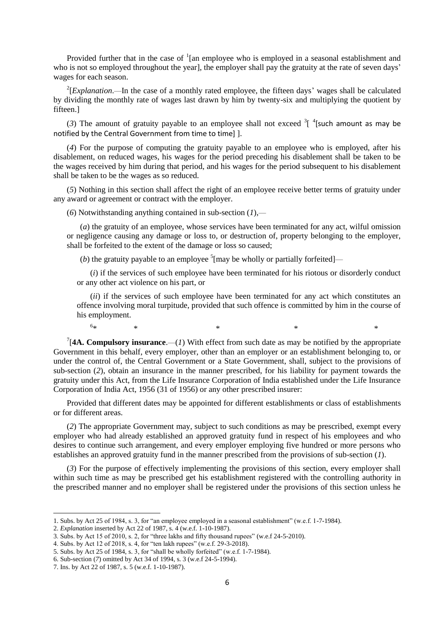Provided further that in the case of  $\frac{1}{2}$  [an employee who is employed in a seasonal establishment and who is not so employed throughout the year], the employer shall pay the gratuity at the rate of seven days' wages for each season.

 $2$ [*Explanation*.—In the case of a monthly rated employee, the fifteen days' wages shall be calculated by dividing the monthly rate of wages last drawn by him by twenty-six and multiplying the quotient by fifteen.]

(3) The amount of gratuity payable to an employee shall not exceed  $3$ <sup>[4</sup>[such amount as may be notified by the Central Government from time to time] ].

(*4*) For the purpose of computing the gratuity payable to an employee who is employed, after his disablement, on reduced wages, his wages for the period preceding his disablement shall be taken to be the wages received by him during that period, and his wages for the period subsequent to his disablement shall be taken to be the wages as so reduced.

(*5*) Nothing in this section shall affect the right of an employee receive better terms of gratuity under any award or agreement or contract with the employer.

(*6*) Notwithstanding anything contained in sub-section (*1*),—

(*a*) the gratuity of an employee, whose services have been terminated for any act, wilful omission or negligence causing any damage or loss to, or destruction of, property belonging to the employer, shall be forfeited to the extent of the damage or loss so caused;

(*b*) the gratuity payable to an employee  $\frac{5}{7}$  [may be wholly or partially forfeited]—

(*i*) if the services of such employee have been terminated for his riotous or disorderly conduct or any other act violence on his part, or

(*ii*) if the services of such employee have been terminated for any act which constitutes an offence involving moral turpitude, provided that such offence is committed by him in the course of his employment.

 $6*$  $*$   $*$   $*$   $*$   $*$   $*$ 

<sup>7</sup>[4A. Compulsory insurance.—(*1*) With effect from such date as may be notified by the appropriate Government in this behalf, every employer, other than an employer or an establishment belonging to, or under the control of, the Central Government or a State Government, shall, subject to the provisions of sub-section (*2*), obtain an insurance in the manner prescribed, for his liability for payment towards the gratuity under this Act, from the Life Insurance Corporation of India established under the Life Insurance Corporation of India Act, 1956 (31 of 1956) or any other prescribed insurer:

Provided that different dates may be appointed for different establishments or class of establishments or for different areas.

(*2*) The appropriate Government may, subject to such conditions as may be prescribed, exempt every employer who had already established an approved gratuity fund in respect of his employees and who desires to continue such arrangement, and every employer employing five hundred or more persons who establishes an approved gratuity fund in the manner prescribed from the provisions of sub-section (*1*).

(*3*) For the purpose of effectively implementing the provisions of this section, every employer shall within such time as may be prescribed get his establishment registered with the controlling authority in the prescribed manner and no employer shall be registered under the provisions of this section unless he

1

<sup>1.</sup> Subs. by Act 25 of 1984, s. 3, for "an employee employed in a seasonal establishment" (w.e.f. 1-7-1984).

<sup>2.</sup> *Explanation* inserted by Act 22 of 1987, s. 4 (w.e.f. 1-10-1987).

<sup>3.</sup> Subs. by Act 15 of 2010, s. 2, for "three lakhs and fifty thousand rupees" (w.e.f 24-5-2010).

<sup>4.</sup> Subs. by Act 12 of 2018, s. 4, for "ten lakh rupees" (w.e.f. 29-3-2018).

<sup>5.</sup> Subs. by Act 25 of 1984, s. 3, for "shall be wholly forfeited" (w.e.f. 1-7-1984).

<sup>6.</sup> Sub-section (*7*) omitted by Act 34 of 1994, s. 3 (w.e.f 24-5-1994).

<sup>7.</sup> Ins. by Act 22 of 1987, s. 5 (w.e.f. 1-10-1987).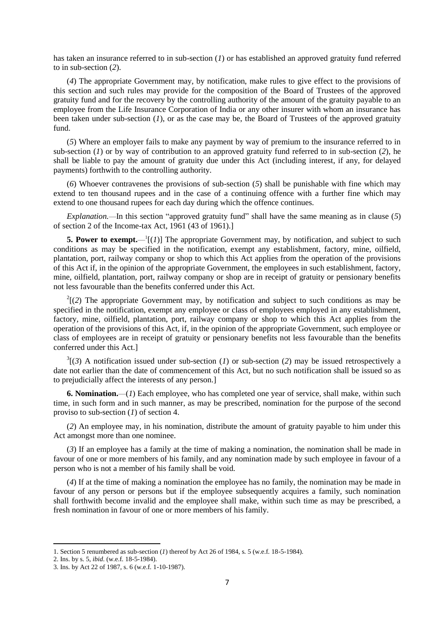has taken an insurance referred to in sub-section (*1*) or has established an approved gratuity fund referred to in sub-section (*2*).

(*4*) The appropriate Government may, by notification, make rules to give effect to the provisions of this section and such rules may provide for the composition of the Board of Trustees of the approved gratuity fund and for the recovery by the controlling authority of the amount of the gratuity payable to an employee from the Life Insurance Corporation of India or any other insurer with whom an insurance has been taken under sub-section (*1*), or as the case may be, the Board of Trustees of the approved gratuity fund.

(*5*) Where an employer fails to make any payment by way of premium to the insurance referred to in sub-section (*1*) or by way of contribution to an approved gratuity fund referred to in sub-section (*2*), he shall be liable to pay the amount of gratuity due under this Act (including interest, if any, for delayed payments) forthwith to the controlling authority.

(*6*) Whoever contravenes the provisions of sub-section (*5*) shall be punishable with fine which may extend to ten thousand rupees and in the case of a continuing offence with a further fine which may extend to one thousand rupees for each day during which the offence continues.

*Explanation.*—In this section "approved gratuity fund" shall have the same meaning as in clause (*5*) of section 2 of the Income-tax Act, 1961 (43 of 1961).]

**5. Power to exempt.**  $-1$ [(*1*)] The appropriate Government may, by notification, and subject to such conditions as may be specified in the notification, exempt any establishment, factory, mine, oilfield, plantation, port, railway company or shop to which this Act applies from the operation of the provisions of this Act if, in the opinion of the appropriate Government, the employees in such establishment, factory, mine, oilfield, plantation, port, railway company or shop are in receipt of gratuity or pensionary benefits not less favourable than the benefits conferred under this Act.

 $2(2)$  The appropriate Government may, by notification and subject to such conditions as may be specified in the notification, exempt any employee or class of employees employed in any establishment, factory, mine, oilfield, plantation, port, railway company or shop to which this Act applies from the operation of the provisions of this Act, if, in the opinion of the appropriate Government, such employee or class of employees are in receipt of gratuity or pensionary benefits not less favourable than the benefits conferred under this Act.]

 $3(3)$  A notification issued under sub-section (*1*) or sub-section (*2*) may be issued retrospectively a date not earlier than the date of commencement of this Act, but no such notification shall be issued so as to prejudicially affect the interests of any person.]

**6. Nomination.**—(*1*) Each employee, who has completed one year of service, shall make, within such time, in such form and in such manner, as may be prescribed, nomination for the purpose of the second proviso to sub-section (*1*) of section 4.

(*2*) An employee may, in his nomination, distribute the amount of gratuity payable to him under this Act amongst more than one nominee.

(*3*) If an employee has a family at the time of making a nomination, the nomination shall be made in favour of one or more members of his family, and any nomination made by such employee in favour of a person who is not a member of his family shall be void.

(*4*) If at the time of making a nomination the employee has no family, the nomination may be made in favour of any person or persons but if the employee subsequently acquires a family, such nomination shall forthwith become invalid and the employee shall make, within such time as may be prescribed, a fresh nomination in favour of one or more members of his family.

<sup>1.</sup> Section 5 renumbered as sub-section (*1*) thereof by Act 26 of 1984, s. 5 (w.e.f. 18-5-1984).

<sup>2.</sup> Ins. by s. 5, *ibid*. (w.e.f. 18-5-1984).

<sup>3.</sup> Ins. by Act 22 of 1987, s. 6 (w.e.f. 1-10-1987).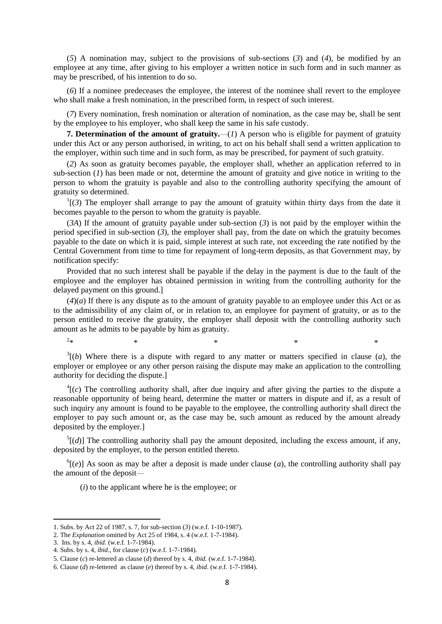(*5*) A nomination may, subject to the provisions of sub-sections (*3*) and (*4*), be modified by an employee at any time, after giving to his employer a written notice in such form and in such manner as may be prescribed, of his intention to do so.

(*6*) If a nominee predeceases the employee, the interest of the nominee shall revert to the employee who shall make a fresh nomination, in the prescribed form, in respect of such interest.

(*7*) Every nomination, fresh nomination or alteration of nomination, as the case may be, shall be sent by the employee to his employer, who shall keep the same in his safe custody.

**7. Determination of the amount of gratuity.**—(*1*) A person who is eligible for payment of gratuity under this Act or any person authorised, in writing, to act on his behalf shall send a written application to the employer, within such time and in such form, as may be prescribed, for payment of such gratuity.

(*2*) As soon as gratuity becomes payable, the employer shall, whether an application referred to in sub-section (*1*) has been made or not, determine the amount of gratuity and give notice in writing to the person to whom the gratuity is payable and also to the controlling authority specifying the amount of gratuity so determined.

 $\Gamma$ [(3) The employer shall arrange to pay the amount of gratuity within thirty days from the date it becomes payable to the person to whom the gratuity is payable.

(*3A*) If the amount of gratuity payable under sub-section (*3*) is not paid by the employer within the period specified in sub-section (*3*), the employer shall pay, from the date on which the gratuity becomes payable to the date on which it is paid, simple interest at such rate, not exceeding the rate notified by the Central Government from time to time for repayment of long-term deposits, as that Government may, by notification specify:

Provided that no such interest shall be payable if the delay in the payment is due to the fault of the employee and the employer has obtained permission in writing from the controlling authority for the delayed payment on this ground.]

 $(4)(a)$  If there is any dispute as to the amount of gratuity payable to an employee under this Act or as to the admissibility of any claim of, or in relation to, an employee for payment of gratuity, or as to the person entitled to receive the gratuity, the employer shall deposit with the controlling authority such amount as he admits to be payable by him as gratuity.

 $3(6)$  Where there is a dispute with regard to any matter or matters specified in clause (*a*), the employer or employee or any other person raising the dispute may make an application to the controlling authority for deciding the dispute.]

 $*$   $*$   $*$   $*$   $*$   $*$   $*$ 

 ${}^{4}$ [(*c*) The controlling authority shall, after due inquiry and after giving the parties to the dispute a reasonable opportunity of being heard, determine the matter or matters in dispute and if, as a result of such inquiry any amount is found to be payable to the employee, the controlling authority shall direct the employer to pay such amount or, as the case may be, such amount as reduced by the amount already deposited by the employer.]

 $<sup>5</sup>[(d)]$  The controlling authority shall pay the amount deposited, including the excess amount, if any,</sup> deposited by the employer, to the person entitled thereto.

 $^{6}$ [(*e*)] As soon as may be after a deposit is made under clause (*a*), the controlling authority shall pay the amount of the deposit—

(*i*) to the applicant where he is the employee; or

 $2_{\ast}$ 

<sup>1.</sup> Subs. by Act 22 of 1987, s. 7, for sub-section (*3*) (w.e.f. 1-10-1987).

<sup>2.</sup> The *Explanation* omitted by Act 25 of 1984, s. 4 (w.e.f. 1-7-1984).

<sup>3.</sup> Ins. by s. 4, *ibid*. (w.e.f. 1-7-1984).

<sup>4.</sup> Subs. by s. 4, *ibid*., for clause (*c*) (w.e.f. 1-7-1984).

<sup>5.</sup> Clause (*c*) re-lettered as clause (*d*) thereof by s. 4, *ibid.* (w.e.f. 1-7-1984).

<sup>6.</sup> Clause (*d*) re-lettered as clause (*e*) thereof by s. 4, *ibid*. (w.e.f. 1-7-1984).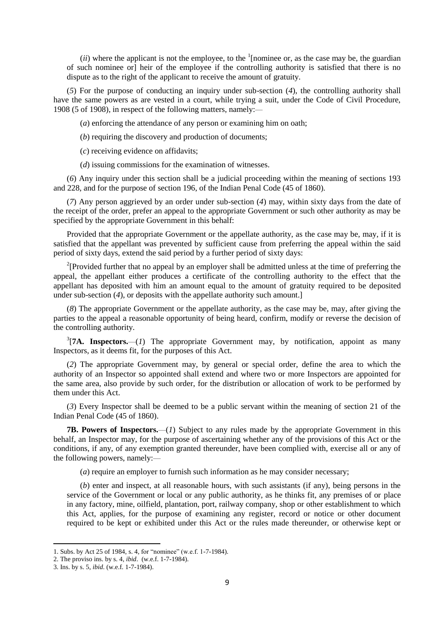$(ii)$  where the applicant is not the employee, to the  $\frac{1}{1}$  [nominee or, as the case may be, the guardian of such nominee or] heir of the employee if the controlling authority is satisfied that there is no dispute as to the right of the applicant to receive the amount of gratuity.

(*5*) For the purpose of conducting an inquiry under sub-section (*4*), the controlling authority shall have the same powers as are vested in a court, while trying a suit, under the Code of Civil Procedure, 1908 (5 of 1908), in respect of the following matters, namely:—

(*a*) enforcing the attendance of any person or examining him on oath;

(*b*) requiring the discovery and production of documents;

(*c*) receiving evidence on affidavits;

(*d*) issuing commissions for the examination of witnesses.

(*6*) Any inquiry under this section shall be a judicial proceeding within the meaning of sections 193 and 228, and for the purpose of section 196, of the Indian Penal Code (45 of 1860).

(*7*) Any person aggrieved by an order under sub-section (*4*) may, within sixty days from the date of the receipt of the order, prefer an appeal to the appropriate Government or such other authority as may be specified by the appropriate Government in this behalf:

Provided that the appropriate Government or the appellate authority, as the case may be, may, if it is satisfied that the appellant was prevented by sufficient cause from preferring the appeal within the said period of sixty days, extend the said period by a further period of sixty days:

<sup>2</sup>[Provided further that no appeal by an employer shall be admitted unless at the time of preferring the appeal, the appellant either produces a certificate of the controlling authority to the effect that the appellant has deposited with him an amount equal to the amount of gratuity required to be deposited under sub-section (*4*), or deposits with the appellate authority such amount.]

(*8*) The appropriate Government or the appellate authority, as the case may be, may, after giving the parties to the appeal a reasonable opportunity of being heard, confirm, modify or reverse the decision of the controlling authority.

 $3$ [7A. Inspectors.—(*1*) The appropriate Government may, by notification, appoint as many Inspectors, as it deems fit, for the purposes of this Act.

(*2*) The appropriate Government may, by general or special order, define the area to which the authority of an Inspector so appointed shall extend and where two or more Inspectors are appointed for the same area, also provide by such order, for the distribution or allocation of work to be performed by them under this Act.

(*3*) Every Inspector shall be deemed to be a public servant within the meaning of section 21 of the Indian Penal Code (45 of 1860).

**7B. Powers of Inspectors.**—(*1*) Subject to any rules made by the appropriate Government in this behalf, an Inspector may, for the purpose of ascertaining whether any of the provisions of this Act or the conditions, if any, of any exemption granted thereunder, have been complied with, exercise all or any of the following powers, namely:—

(*a*) require an employer to furnish such information as he may consider necessary;

(*b*) enter and inspect, at all reasonable hours, with such assistants (if any), being persons in the service of the Government or local or any public authority, as he thinks fit, any premises of or place in any factory, mine, oilfield, plantation, port, railway company, shop or other establishment to which this Act, applies, for the purpose of examining any register, record or notice or other document required to be kept or exhibited under this Act or the rules made thereunder, or otherwise kept or

<sup>1.</sup> Subs. by Act 25 of 1984, s. 4, for "nominee" (w.e.f. 1-7-1984).

<sup>2.</sup> The proviso ins. by s. 4, *ibid*. (w.e.f. 1-7-1984).

<sup>3.</sup> Ins. by s. 5, *ibid*. (w.e.f. 1-7-1984).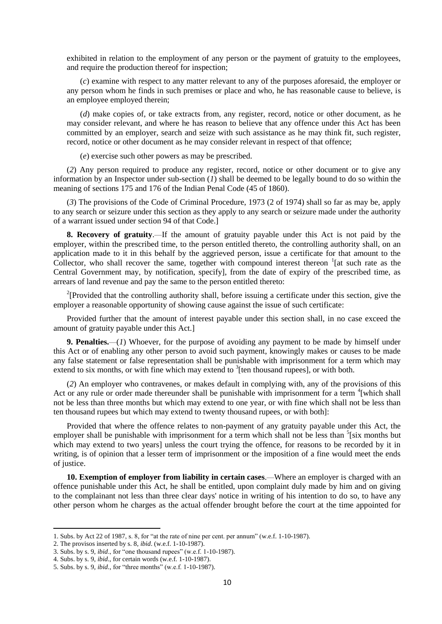exhibited in relation to the employment of any person or the payment of gratuity to the employees, and require the production thereof for inspection;

(*c*) examine with respect to any matter relevant to any of the purposes aforesaid, the employer or any person whom he finds in such premises or place and who, he has reasonable cause to believe, is an employee employed therein;

(*d*) make copies of, or take extracts from, any register, record, notice or other document, as he may consider relevant, and where he has reason to believe that any offence under this Act has been committed by an employer, search and seize with such assistance as he may think fit, such register, record, notice or other document as he may consider relevant in respect of that offence;

(*e*) exercise such other powers as may be prescribed.

(*2*) Any person required to produce any register, record, notice or other document or to give any information by an Inspector under sub-section (*1*) shall be deemed to be legally bound to do so within the meaning of sections 175 and 176 of the Indian Penal Code (45 of 1860).

(*3*) The provisions of the Code of Criminal Procedure, 1973 (2 of 1974) shall so far as may be, apply to any search or seizure under this section as they apply to any search or seizure made under the authority of a warrant issued under section 94 of that Code.]

**8. Recovery of gratuity**.—If the amount of gratuity payable under this Act is not paid by the employer, within the prescribed time, to the person entitled thereto, the controlling authority shall, on an application made to it in this behalf by the aggrieved person, issue a certificate for that amount to the Collector, who shall recover the same, together with compound interest thereon  ${}^{1}$ [at such rate as the Central Government may, by notification, specify], from the date of expiry of the prescribed time, as arrears of land revenue and pay the same to the person entitled thereto:

<sup>2</sup>[Provided that the controlling authority shall, before issuing a certificate under this section, give the employer a reasonable opportunity of showing cause against the issue of such certificate:

Provided further that the amount of interest payable under this section shall, in no case exceed the amount of gratuity payable under this Act.]

**9. Penalties.**—(*1*) Whoever, for the purpose of avoiding any payment to be made by himself under this Act or of enabling any other person to avoid such payment, knowingly makes or causes to be made any false statement or false representation shall be punishable with imprisonment for a term which may extend to six months, or with fine which may extend to  $\frac{3}{2}$  [ten thousand rupees], or with both.

(*2*) An employer who contravenes, or makes default in complying with, any of the provisions of this Act or any rule or order made thereunder shall be punishable with imprisonment for a term <sup>4</sup>[which shall not be less than three months but which may extend to one year, or with fine which shall not be less than ten thousand rupees but which may extend to twenty thousand rupees, or with both]:

Provided that where the offence relates to non-payment of any gratuity payable under this Act, the employer shall be punishable with imprisonment for a term which shall not be less than  $\frac{1}{5}$  [six months but which may extend to two years] unless the court trying the offence, for reasons to be recorded by it in writing, is of opinion that a lesser term of imprisonment or the imposition of a fine would meet the ends of justice.

**10. Exemption of employer from liability in certain cases**.—Where an employer is charged with an offence punishable under this Act, he shall be entitled, upon complaint duly made by him and on giving to the complainant not less than three clear days' notice in writing of his intention to do so, to have any other person whom he charges as the actual offender brought before the court at the time appointed for

1

<sup>1.</sup> Subs. by Act 22 of 1987, s. 8, for "at the rate of nine per cent. per annum" (w.e.f. 1-10-1987).

<sup>2.</sup> The provisos inserted by s. 8, *ibid*. (w.e.f. 1-10-1987).

<sup>3.</sup> Subs. by s. 9, *ibid*., for "one thousand rupees" (w.e.f. 1-10-1987).

<sup>4.</sup> Subs. by s. 9, *ibid*., for certain words (w.e.f. 1-10-1987).

<sup>5.</sup> Subs. by s. 9, *ibid*., for "three months" (w.e.f. 1-10-1987).